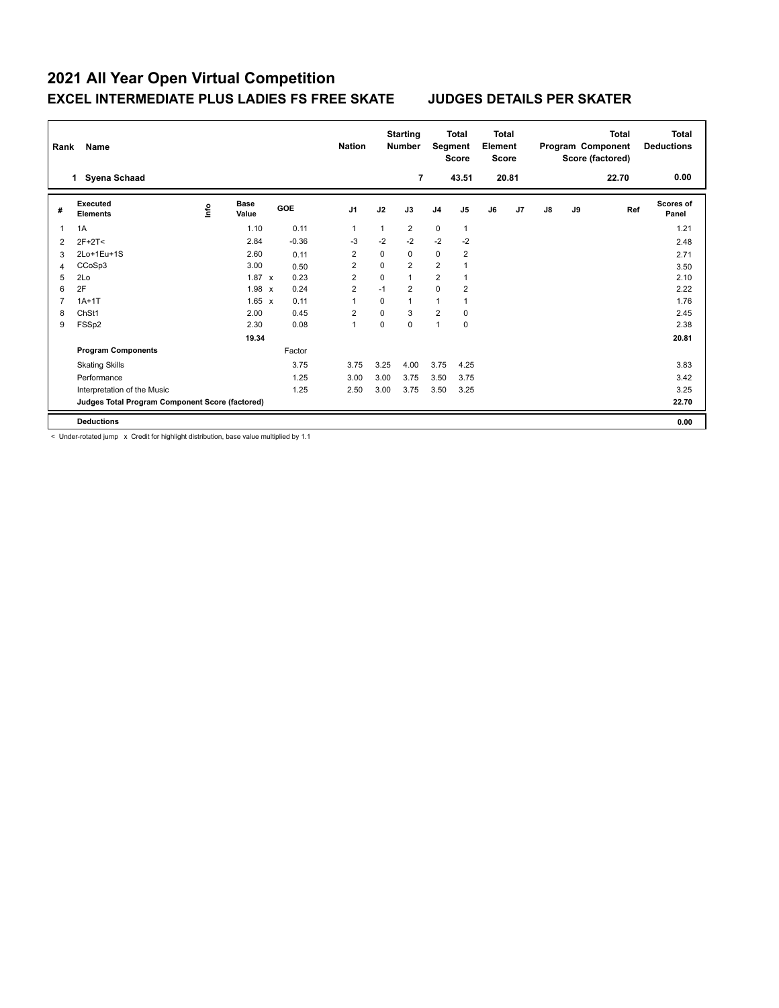| Rank | <b>Name</b>                                     |      |                      |            | <b>Nation</b>  |              | <b>Starting</b><br><b>Number</b> | Segment        | <b>Total</b><br><b>Score</b> | <b>Total</b><br>Element<br><b>Score</b> |       |               |    | <b>Total</b><br>Program Component<br>Score (factored) | <b>Total</b><br><b>Deductions</b> |
|------|-------------------------------------------------|------|----------------------|------------|----------------|--------------|----------------------------------|----------------|------------------------------|-----------------------------------------|-------|---------------|----|-------------------------------------------------------|-----------------------------------|
|      | <b>Syena Schaad</b><br>1                        |      |                      |            |                |              | 7                                |                | 43.51                        |                                         | 20.81 |               |    | 22.70                                                 | 0.00                              |
| #    | Executed<br><b>Elements</b>                     | ١nf٥ | <b>Base</b><br>Value | <b>GOE</b> | J <sub>1</sub> | J2           | J3                               | J <sub>4</sub> | J <sub>5</sub>               | J6                                      | J7    | $\mathsf{J}8$ | J9 | Ref                                                   | <b>Scores of</b><br>Panel         |
| 1    | 1A                                              |      | 1.10                 | 0.11       | 1              | $\mathbf{1}$ | $\overline{2}$                   | $\mathbf 0$    | $\mathbf{1}$                 |                                         |       |               |    |                                                       | 1.21                              |
| 2    | $2F+2T<$                                        |      | 2.84                 | $-0.36$    | $-3$           | $-2$         | $-2$                             | $-2$           | $-2$                         |                                         |       |               |    |                                                       | 2.48                              |
| 3    | 2Lo+1Eu+1S                                      |      | 2.60                 | 0.11       | 2              | 0            | 0                                | $\mathbf 0$    | 2                            |                                         |       |               |    |                                                       | 2.71                              |
| 4    | CCoSp3                                          |      | 3.00                 | 0.50       | 2              | 0            | $\overline{2}$                   | $\overline{2}$ |                              |                                         |       |               |    |                                                       | 3.50                              |
| 5    | 2Lo                                             |      | $1.87 \times$        | 0.23       | $\overline{2}$ | 0            | $\mathbf{1}$                     | $\overline{2}$ | 1                            |                                         |       |               |    |                                                       | 2.10                              |
| 6    | 2F                                              |      | $1.98 \times$        | 0.24       | $\overline{2}$ | $-1$         | $\overline{2}$                   | $\Omega$       | $\overline{2}$               |                                         |       |               |    |                                                       | 2.22                              |
|      | $1A+1T$                                         |      | $1.65 \times$        | 0.11       | 1              | 0            | $\mathbf{1}$                     | $\mathbf{1}$   | 1                            |                                         |       |               |    |                                                       | 1.76                              |
| 8    | ChSt1                                           |      | 2.00                 | 0.45       | $\overline{2}$ | 0            | 3                                | $\overline{2}$ | 0                            |                                         |       |               |    |                                                       | 2.45                              |
| 9    | FSSp2                                           |      | 2.30                 | 0.08       | 1              | $\Omega$     | $\Omega$                         | $\mathbf{1}$   | $\mathbf 0$                  |                                         |       |               |    |                                                       | 2.38                              |
|      |                                                 |      | 19.34                |            |                |              |                                  |                |                              |                                         |       |               |    |                                                       | 20.81                             |
|      | <b>Program Components</b>                       |      |                      | Factor     |                |              |                                  |                |                              |                                         |       |               |    |                                                       |                                   |
|      | <b>Skating Skills</b>                           |      |                      | 3.75       | 3.75           | 3.25         | 4.00                             | 3.75           | 4.25                         |                                         |       |               |    |                                                       | 3.83                              |
|      | Performance                                     |      |                      | 1.25       | 3.00           | 3.00         | 3.75                             | 3.50           | 3.75                         |                                         |       |               |    |                                                       | 3.42                              |
|      | Interpretation of the Music                     |      |                      | 1.25       | 2.50           | 3.00         | 3.75                             | 3.50           | 3.25                         |                                         |       |               |    |                                                       | 3.25                              |
|      | Judges Total Program Component Score (factored) |      |                      |            |                |              |                                  |                |                              |                                         |       |               |    |                                                       | 22.70                             |
|      | <b>Deductions</b>                               |      |                      |            |                |              |                                  |                |                              |                                         |       |               |    |                                                       | 0.00                              |

< Under-rotated jump x Credit for highlight distribution, base value multiplied by 1.1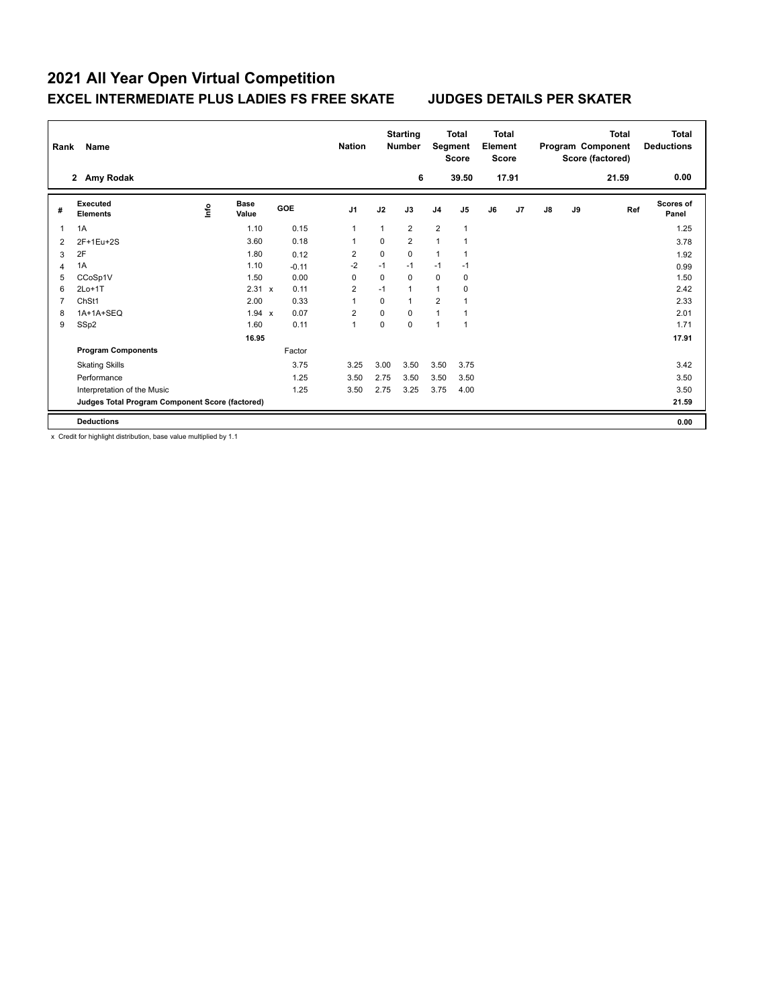| Rank | <b>Name</b>                                     |      |                      |            | <b>Nation</b>  |          | <b>Starting</b><br><b>Number</b> | Segment        | <b>Total</b><br><b>Score</b> | <b>Total</b><br>Element<br><b>Score</b> |       |               |    | <b>Total</b><br>Program Component<br>Score (factored) | <b>Total</b><br><b>Deductions</b> |
|------|-------------------------------------------------|------|----------------------|------------|----------------|----------|----------------------------------|----------------|------------------------------|-----------------------------------------|-------|---------------|----|-------------------------------------------------------|-----------------------------------|
|      | 2 Amy Rodak                                     |      |                      |            |                |          | 6                                |                | 39.50                        |                                         | 17.91 |               |    | 21.59                                                 | 0.00                              |
| #    | Executed<br><b>Elements</b>                     | ١nfo | <b>Base</b><br>Value | <b>GOE</b> | J <sub>1</sub> | J2       | J3                               | J <sub>4</sub> | J <sub>5</sub>               | J6                                      | J7    | $\mathsf{J}8$ | J9 | Ref                                                   | <b>Scores of</b><br>Panel         |
|      | 1A                                              |      | 1.10                 | 0.15       | 1              | 1        | $\overline{2}$                   | $\overline{2}$ | $\mathbf{1}$                 |                                         |       |               |    |                                                       | 1.25                              |
| 2    | 2F+1Eu+2S                                       |      | 3.60                 | 0.18       | 1              | 0        | $\overline{2}$                   | $\mathbf{1}$   | 1                            |                                         |       |               |    |                                                       | 3.78                              |
| 3    | 2F                                              |      | 1.80                 | 0.12       | 2              | 0        | 0                                | $\mathbf{1}$   | 1                            |                                         |       |               |    |                                                       | 1.92                              |
| 4    | 1A                                              |      | 1.10                 | $-0.11$    | $-2$           | $-1$     | $-1$                             | $-1$           | $-1$                         |                                         |       |               |    |                                                       | 0.99                              |
| 5    | CCoSp1V                                         |      | 1.50                 | 0.00       | 0              | 0        | $\Omega$                         | $\mathbf 0$    | 0                            |                                         |       |               |    |                                                       | 1.50                              |
| 6    | $2Lo+1T$                                        |      | 2.31 x               | 0.11       | $\overline{2}$ | $-1$     | $\mathbf{1}$                     | $\mathbf{1}$   | 0                            |                                         |       |               |    |                                                       | 2.42                              |
|      | ChSt1                                           |      | 2.00                 | 0.33       | 1              | 0        | $\mathbf{1}$                     | $\overline{2}$ | 1                            |                                         |       |               |    |                                                       | 2.33                              |
| 8    | 1A+1A+SEQ                                       |      | 1.94 x               | 0.07       | 2              | 0        | $\Omega$                         | $\mathbf{1}$   | 1                            |                                         |       |               |    |                                                       | 2.01                              |
| 9    | SSp2                                            |      | 1.60                 | 0.11       | 1              | $\Omega$ | $\Omega$                         | $\mathbf{1}$   | $\mathbf{1}$                 |                                         |       |               |    |                                                       | 1.71                              |
|      |                                                 |      | 16.95                |            |                |          |                                  |                |                              |                                         |       |               |    |                                                       | 17.91                             |
|      | <b>Program Components</b>                       |      |                      | Factor     |                |          |                                  |                |                              |                                         |       |               |    |                                                       |                                   |
|      | <b>Skating Skills</b>                           |      |                      | 3.75       | 3.25           | 3.00     | 3.50                             | 3.50           | 3.75                         |                                         |       |               |    |                                                       | 3.42                              |
|      | Performance                                     |      |                      | 1.25       | 3.50           | 2.75     | 3.50                             | 3.50           | 3.50                         |                                         |       |               |    |                                                       | 3.50                              |
|      | Interpretation of the Music                     |      |                      | 1.25       | 3.50           | 2.75     | 3.25                             | 3.75           | 4.00                         |                                         |       |               |    |                                                       | 3.50                              |
|      | Judges Total Program Component Score (factored) |      |                      |            |                |          |                                  |                |                              |                                         |       |               |    |                                                       | 21.59                             |
|      | <b>Deductions</b>                               |      |                      |            |                |          |                                  |                |                              |                                         |       |               |    |                                                       | 0.00                              |

x Credit for highlight distribution, base value multiplied by 1.1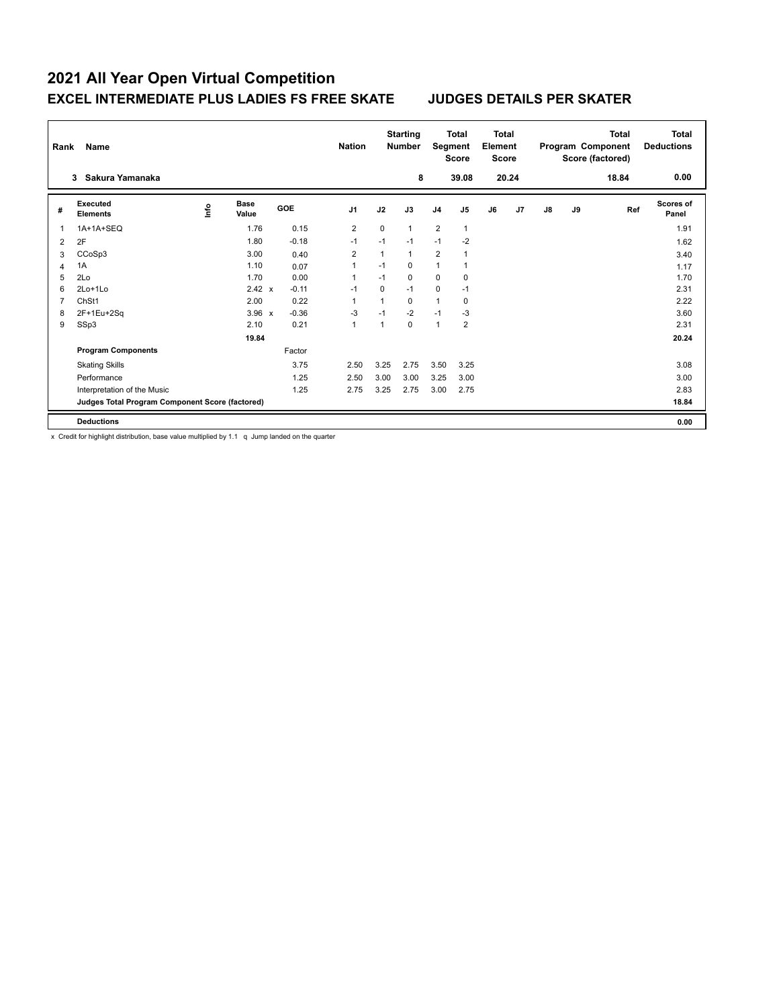| Rank | Name                                            |      |                      |         | <b>Nation</b>  |          | <b>Starting</b><br><b>Number</b> | Segment        | <b>Total</b><br><b>Score</b> | <b>Total</b><br>Element<br><b>Score</b> |       |               |    | <b>Total</b><br>Program Component<br>Score (factored) | Total<br><b>Deductions</b> |
|------|-------------------------------------------------|------|----------------------|---------|----------------|----------|----------------------------------|----------------|------------------------------|-----------------------------------------|-------|---------------|----|-------------------------------------------------------|----------------------------|
|      | Sakura Yamanaka<br>3                            |      |                      |         |                |          | 8                                |                | 39.08                        |                                         | 20.24 |               |    | 18.84                                                 | 0.00                       |
| #    | <b>Executed</b><br><b>Elements</b>              | ١nf٥ | <b>Base</b><br>Value | GOE     | J <sub>1</sub> | J2       | J3                               | J <sub>4</sub> | J <sub>5</sub>               | J6                                      | J7    | $\mathsf{J}8$ | J9 | Ref                                                   | Scores of<br>Panel         |
|      | 1A+1A+SEQ                                       |      | 1.76                 | 0.15    | 2              | $\Omega$ | $\mathbf{1}$                     | $\overline{2}$ | $\mathbf{1}$                 |                                         |       |               |    |                                                       | 1.91                       |
| 2    | 2F                                              |      | 1.80                 | $-0.18$ | $-1$           | $-1$     | $-1$                             | $-1$           | $-2$                         |                                         |       |               |    |                                                       | 1.62                       |
| 3    | CCoSp3                                          |      | 3.00                 | 0.40    | 2              | 1        | $\mathbf{1}$                     | $\overline{2}$ | 1                            |                                         |       |               |    |                                                       | 3.40                       |
| 4    | 1A                                              |      | 1.10                 | 0.07    | 1              | $-1$     | $\Omega$                         | $\mathbf{1}$   |                              |                                         |       |               |    |                                                       | 1.17                       |
| 5    | 2Lo                                             |      | 1.70                 | 0.00    | 1              | $-1$     | $\Omega$                         | $\mathbf 0$    | $\Omega$                     |                                         |       |               |    |                                                       | 1.70                       |
| 6    | $2Lo+1Lo$                                       |      | 2.42 x               | $-0.11$ | $-1$           | $\Omega$ | $-1$                             | $\mathbf 0$    | $-1$                         |                                         |       |               |    |                                                       | 2.31                       |
|      | ChSt1                                           |      | 2.00                 | 0.22    | $\overline{1}$ | 1        | $\Omega$                         | $\mathbf{1}$   | $\pmb{0}$                    |                                         |       |               |    |                                                       | 2.22                       |
| 8    | 2F+1Eu+2Sq                                      |      | $3.96 \times$        | $-0.36$ | $-3$           | $-1$     | $-2$                             | $-1$           | $-3$                         |                                         |       |               |    |                                                       | 3.60                       |
| 9    | SSp3                                            |      | 2.10                 | 0.21    | 1              | 1        | $\Omega$                         | $\mathbf{1}$   | $\overline{2}$               |                                         |       |               |    |                                                       | 2.31                       |
|      |                                                 |      | 19.84                |         |                |          |                                  |                |                              |                                         |       |               |    |                                                       | 20.24                      |
|      | <b>Program Components</b>                       |      |                      | Factor  |                |          |                                  |                |                              |                                         |       |               |    |                                                       |                            |
|      | <b>Skating Skills</b>                           |      |                      | 3.75    | 2.50           | 3.25     | 2.75                             | 3.50           | 3.25                         |                                         |       |               |    |                                                       | 3.08                       |
|      | Performance                                     |      |                      | 1.25    | 2.50           | 3.00     | 3.00                             | 3.25           | 3.00                         |                                         |       |               |    |                                                       | 3.00                       |
|      | Interpretation of the Music                     |      |                      | 1.25    | 2.75           | 3.25     | 2.75                             | 3.00           | 2.75                         |                                         |       |               |    |                                                       | 2.83                       |
|      | Judges Total Program Component Score (factored) |      |                      |         |                |          |                                  |                |                              |                                         |       |               |    |                                                       | 18.84                      |
|      | <b>Deductions</b>                               |      |                      |         |                |          |                                  |                |                              |                                         |       |               |    |                                                       | 0.00                       |

x Credit for highlight distribution, base value multiplied by 1.1 q Jump landed on the quarter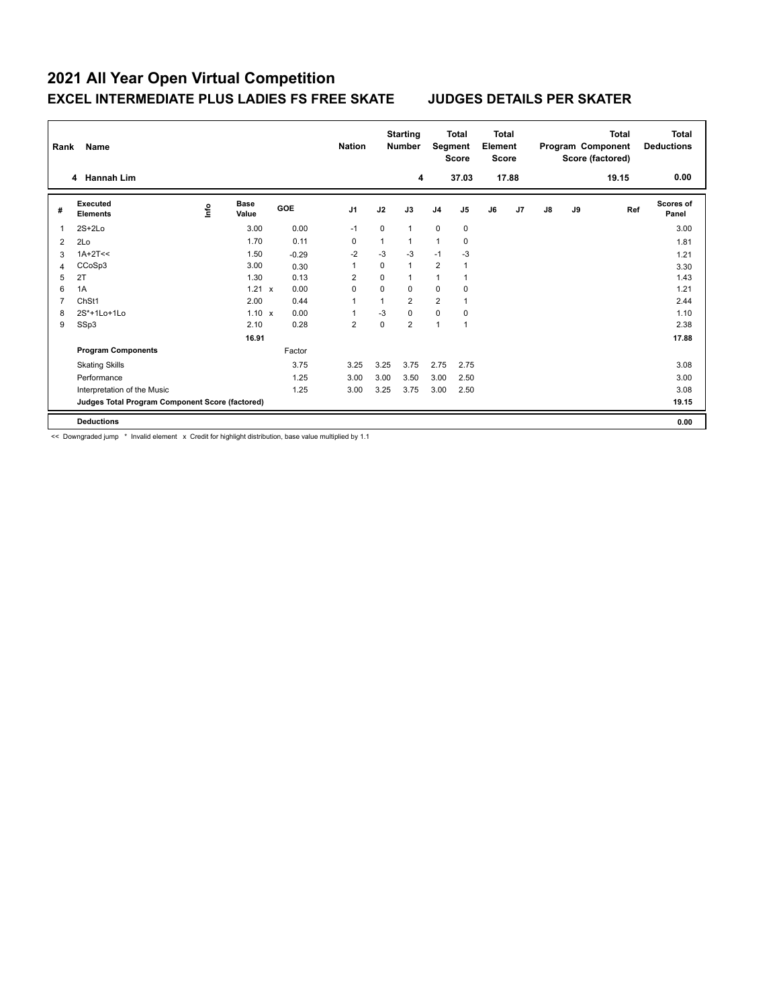| Rank | <b>Name</b>                                     |      |                      |            | <b>Nation</b>  |             | <b>Starting</b><br><b>Number</b> | Segment        | <b>Total</b><br><b>Score</b> | <b>Total</b><br>Element<br><b>Score</b> |       |               |    | <b>Total</b><br>Program Component<br>Score (factored) | Total<br><b>Deductions</b> |
|------|-------------------------------------------------|------|----------------------|------------|----------------|-------------|----------------------------------|----------------|------------------------------|-----------------------------------------|-------|---------------|----|-------------------------------------------------------|----------------------------|
|      | 4 Hannah Lim                                    |      |                      |            |                |             | 4                                |                | 37.03                        |                                         | 17.88 |               |    | 19.15                                                 | 0.00                       |
| #    | Executed<br><b>Elements</b>                     | ١nf٥ | <b>Base</b><br>Value | <b>GOE</b> | J <sub>1</sub> | J2          | J3                               | J <sub>4</sub> | J <sub>5</sub>               | J6                                      | J7    | $\mathsf{J}8$ | J9 | Ref                                                   | Scores of<br>Panel         |
|      | $2S+2Lo$                                        |      | 3.00                 | 0.00       | $-1$           | $\Omega$    | $\mathbf{1}$                     | $\mathbf 0$    | 0                            |                                         |       |               |    |                                                       | 3.00                       |
| 2    | 2Lo                                             |      | 1.70                 | 0.11       | $\mathbf 0$    | 1           | 1                                | $\mathbf{1}$   | 0                            |                                         |       |               |    |                                                       | 1.81                       |
| 3    | $1A+2T<<$                                       |      | 1.50                 | $-0.29$    | $-2$           | -3          | $-3$                             | $-1$           | -3                           |                                         |       |               |    |                                                       | 1.21                       |
| 4    | CCoSp3                                          |      | 3.00                 | 0.30       | 1              | $\mathbf 0$ | $\mathbf{1}$                     | $\overline{2}$ | 1                            |                                         |       |               |    |                                                       | 3.30                       |
| 5    | 2T                                              |      | 1.30                 | 0.13       | 2              | $\Omega$    | 1                                | $\mathbf{1}$   | 1                            |                                         |       |               |    |                                                       | 1.43                       |
| 6    | 1A                                              |      | $1.21 \times$        | 0.00       | 0              | $\Omega$    | $\Omega$                         | 0              | $\mathbf 0$                  |                                         |       |               |    |                                                       | 1.21                       |
|      | ChSt1                                           |      | 2.00                 | 0.44       | 1              | 1           | $\overline{2}$                   | $\overline{2}$ | 1                            |                                         |       |               |    |                                                       | 2.44                       |
| 8    | 2S*+1Lo+1Lo                                     |      | 1.10 x               | 0.00       | 1              | $-3$        | $\mathbf 0$                      | $\mathbf 0$    | 0                            |                                         |       |               |    |                                                       | 1.10                       |
| 9    | SSp3                                            |      | 2.10                 | 0.28       | $\overline{2}$ | 0           | $\overline{2}$                   | $\mathbf{1}$   | $\mathbf 1$                  |                                         |       |               |    |                                                       | 2.38                       |
|      |                                                 |      | 16.91                |            |                |             |                                  |                |                              |                                         |       |               |    |                                                       | 17.88                      |
|      | <b>Program Components</b>                       |      |                      | Factor     |                |             |                                  |                |                              |                                         |       |               |    |                                                       |                            |
|      | <b>Skating Skills</b>                           |      |                      | 3.75       | 3.25           | 3.25        | 3.75                             | 2.75           | 2.75                         |                                         |       |               |    |                                                       | 3.08                       |
|      | Performance                                     |      |                      | 1.25       | 3.00           | 3.00        | 3.50                             | 3.00           | 2.50                         |                                         |       |               |    |                                                       | 3.00                       |
|      | Interpretation of the Music                     |      |                      | 1.25       | 3.00           | 3.25        | 3.75                             | 3.00           | 2.50                         |                                         |       |               |    |                                                       | 3.08                       |
|      | Judges Total Program Component Score (factored) |      |                      |            |                |             |                                  |                |                              |                                         |       |               |    |                                                       | 19.15                      |
|      | <b>Deductions</b>                               |      |                      |            |                |             |                                  |                |                              |                                         |       |               |    |                                                       | 0.00                       |

<< Downgraded jump \* Invalid element x Credit for highlight distribution, base value multiplied by 1.1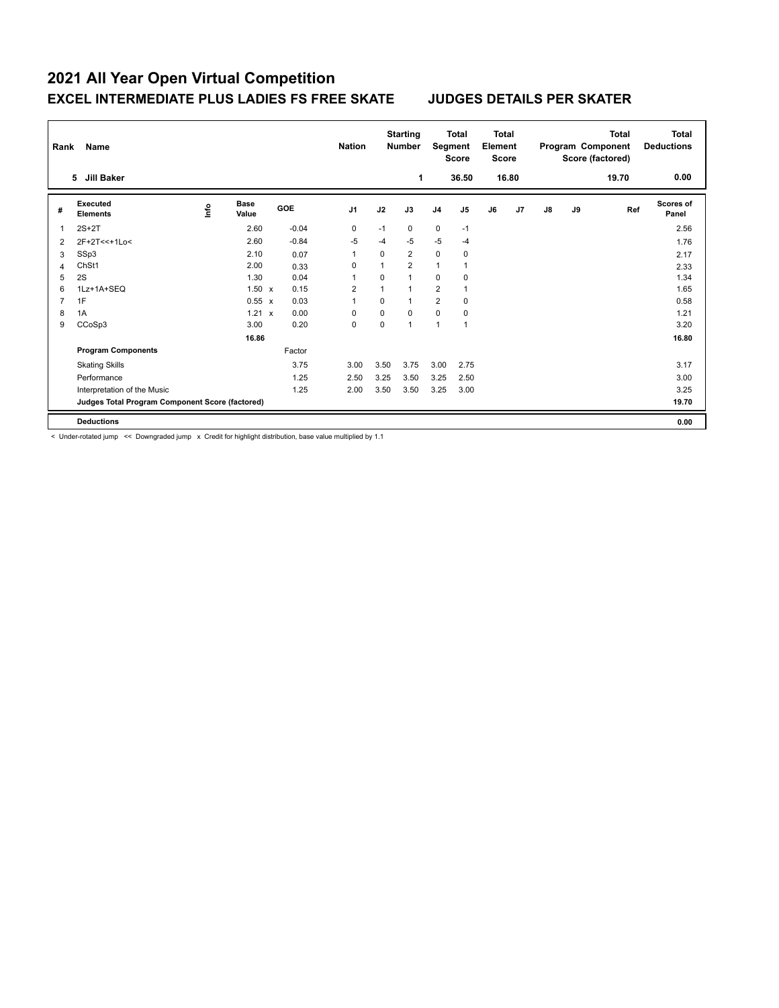| Rank | <b>Name</b>                                     |      |                      |            | <b>Nation</b>  |                | <b>Starting</b><br><b>Number</b> | Segment        | <b>Total</b><br><b>Score</b> | <b>Total</b><br>Element<br><b>Score</b> |       |               |    | <b>Total</b><br>Program Component<br>Score (factored) | <b>Total</b><br><b>Deductions</b> |
|------|-------------------------------------------------|------|----------------------|------------|----------------|----------------|----------------------------------|----------------|------------------------------|-----------------------------------------|-------|---------------|----|-------------------------------------------------------|-----------------------------------|
|      | Jill Baker<br>5                                 |      |                      |            |                |                | 1                                |                | 36.50                        |                                         | 16.80 |               |    | 19.70                                                 | 0.00                              |
| #    | Executed<br><b>Elements</b>                     | ١nf٥ | <b>Base</b><br>Value | <b>GOE</b> | J <sub>1</sub> | J2             | J3                               | J <sub>4</sub> | J <sub>5</sub>               | J6                                      | J7    | $\mathsf{J}8$ | J9 | Ref                                                   | <b>Scores of</b><br>Panel         |
| 1    | $2S+2T$                                         |      | 2.60                 | $-0.04$    | 0              | $-1$           | 0                                | $\mathbf 0$    | $-1$                         |                                         |       |               |    |                                                       | 2.56                              |
| 2    | 2F+2T<<+1Lo<                                    |      | 2.60                 | $-0.84$    | $-5$           | $-4$           | $-5$                             | $-5$           | $-4$                         |                                         |       |               |    |                                                       | 1.76                              |
| 3    | SSp3                                            |      | 2.10                 | 0.07       | 1              | 0              | 2                                | $\mathbf 0$    | 0                            |                                         |       |               |    |                                                       | 2.17                              |
| 4    | ChSt1                                           |      | 2.00                 | 0.33       | 0              | 1              | $\overline{2}$                   | $\mathbf{1}$   |                              |                                         |       |               |    |                                                       | 2.33                              |
| 5    | 2S                                              |      | 1.30                 | 0.04       | 1              | $\Omega$       | 1                                | $\Omega$       | 0                            |                                         |       |               |    |                                                       | 1.34                              |
| 6    | 1Lz+1A+SEQ                                      |      | $1.50 \times$        | 0.15       | 2              | $\overline{1}$ | $\mathbf{1}$                     | $\overline{2}$ | 1                            |                                         |       |               |    |                                                       | 1.65                              |
|      | 1F                                              |      | 0.55 x               | 0.03       | 1              | $\mathbf 0$    | $\mathbf{1}$                     | $\overline{2}$ | $\mathbf 0$                  |                                         |       |               |    |                                                       | 0.58                              |
| 8    | 1A                                              |      | $1.21 \times$        | 0.00       | 0              | 0              | $\Omega$                         | 0              | 0                            |                                         |       |               |    |                                                       | 1.21                              |
| 9    | CCoSp3                                          |      | 3.00                 | 0.20       | 0              | 0              | $\mathbf{1}$                     | $\mathbf{1}$   | 1                            |                                         |       |               |    |                                                       | 3.20                              |
|      |                                                 |      | 16.86                |            |                |                |                                  |                |                              |                                         |       |               |    |                                                       | 16.80                             |
|      | <b>Program Components</b>                       |      |                      | Factor     |                |                |                                  |                |                              |                                         |       |               |    |                                                       |                                   |
|      | <b>Skating Skills</b>                           |      |                      | 3.75       | 3.00           | 3.50           | 3.75                             | 3.00           | 2.75                         |                                         |       |               |    |                                                       | 3.17                              |
|      | Performance                                     |      |                      | 1.25       | 2.50           | 3.25           | 3.50                             | 3.25           | 2.50                         |                                         |       |               |    |                                                       | 3.00                              |
|      | Interpretation of the Music                     |      |                      | 1.25       | 2.00           | 3.50           | 3.50                             | 3.25           | 3.00                         |                                         |       |               |    |                                                       | 3.25                              |
|      | Judges Total Program Component Score (factored) |      |                      |            |                |                |                                  |                |                              |                                         |       |               |    |                                                       | 19.70                             |
|      | <b>Deductions</b>                               |      |                      |            |                |                |                                  |                |                              |                                         |       |               |    |                                                       | 0.00                              |

< Under-rotated jump << Downgraded jump x Credit for highlight distribution, base value multiplied by 1.1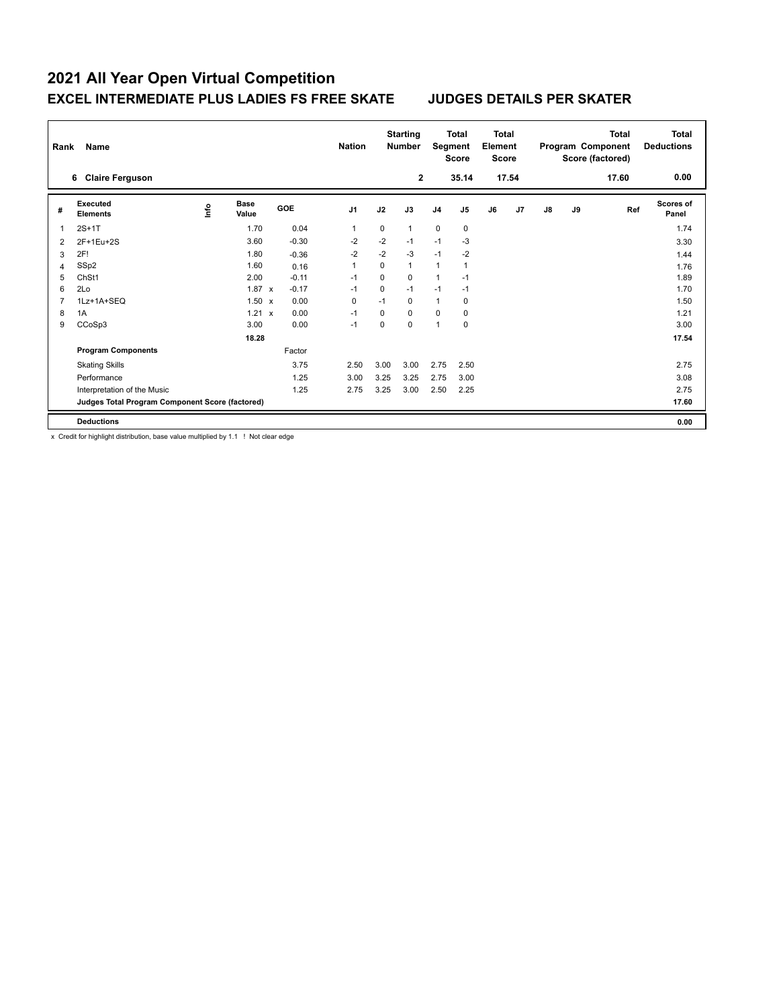| Rank | Name                                            |      |                      |            | <b>Nation</b>  |          | <b>Starting</b><br><b>Number</b> | Segment        | <b>Total</b><br><b>Score</b> | <b>Total</b><br>Element<br><b>Score</b> |       |               |    | <b>Total</b><br>Program Component<br>Score (factored) | Total<br><b>Deductions</b> |
|------|-------------------------------------------------|------|----------------------|------------|----------------|----------|----------------------------------|----------------|------------------------------|-----------------------------------------|-------|---------------|----|-------------------------------------------------------|----------------------------|
|      | <b>Claire Ferguson</b><br>6                     |      |                      |            |                |          | $\overline{2}$                   |                | 35.14                        |                                         | 17.54 |               |    | 17.60                                                 | 0.00                       |
| #    | Executed<br><b>Elements</b>                     | ١nf٥ | <b>Base</b><br>Value | <b>GOE</b> | J <sub>1</sub> | J2       | J3                               | J <sub>4</sub> | J <sub>5</sub>               | J6                                      | J7    | $\mathsf{J}8$ | J9 | Ref                                                   | Scores of<br>Panel         |
|      | $2S+1T$                                         |      | 1.70                 | 0.04       | 1              | 0        | $\mathbf{1}$                     | $\mathbf 0$    | 0                            |                                         |       |               |    |                                                       | 1.74                       |
| 2    | 2F+1Eu+2S                                       |      | 3.60                 | $-0.30$    | $-2$           | $-2$     | $-1$                             | $-1$           | $-3$                         |                                         |       |               |    |                                                       | 3.30                       |
| 3    | 2F!                                             |      | 1.80                 | $-0.36$    | $-2$           | $-2$     | $-3$                             | $-1$           | $-2$                         |                                         |       |               |    |                                                       | 1.44                       |
| 4    | SSp2                                            |      | 1.60                 | 0.16       | 1              | 0        | $\mathbf{1}$                     | $\mathbf{1}$   | $\overline{1}$               |                                         |       |               |    |                                                       | 1.76                       |
| 5    | ChSt1                                           |      | 2.00                 | $-0.11$    | $-1$           | 0        | $\Omega$                         | $\mathbf{1}$   | $-1$                         |                                         |       |               |    |                                                       | 1.89                       |
| 6    | 2Lo                                             |      | $1.87 \times$        | $-0.17$    | $-1$           | 0        | $-1$                             | $-1$           | $-1$                         |                                         |       |               |    |                                                       | 1.70                       |
|      | 1Lz+1A+SEQ                                      |      | $1.50 \times$        | 0.00       | 0              | $-1$     | $\Omega$                         | $\mathbf{1}$   | 0                            |                                         |       |               |    |                                                       | 1.50                       |
| 8    | 1A                                              |      | 1.21<br>$\mathsf{x}$ | 0.00       | $-1$           | 0        | $\Omega$                         | $\mathbf 0$    | 0                            |                                         |       |               |    |                                                       | 1.21                       |
| 9    | CCoSp3                                          |      | 3.00                 | 0.00       | $-1$           | $\Omega$ | $\Omega$                         | 1              | 0                            |                                         |       |               |    |                                                       | 3.00                       |
|      |                                                 |      | 18.28                |            |                |          |                                  |                |                              |                                         |       |               |    |                                                       | 17.54                      |
|      | <b>Program Components</b>                       |      |                      | Factor     |                |          |                                  |                |                              |                                         |       |               |    |                                                       |                            |
|      | <b>Skating Skills</b>                           |      |                      | 3.75       | 2.50           | 3.00     | 3.00                             | 2.75           | 2.50                         |                                         |       |               |    |                                                       | 2.75                       |
|      | Performance                                     |      |                      | 1.25       | 3.00           | 3.25     | 3.25                             | 2.75           | 3.00                         |                                         |       |               |    |                                                       | 3.08                       |
|      | Interpretation of the Music                     |      |                      | 1.25       | 2.75           | 3.25     | 3.00                             | 2.50           | 2.25                         |                                         |       |               |    |                                                       | 2.75                       |
|      | Judges Total Program Component Score (factored) |      |                      |            |                |          |                                  |                |                              |                                         |       |               |    |                                                       | 17.60                      |
|      | <b>Deductions</b>                               |      |                      |            |                |          |                                  |                |                              |                                         |       |               |    |                                                       | 0.00                       |

x Credit for highlight distribution, base value multiplied by 1.1 ! Not clear edge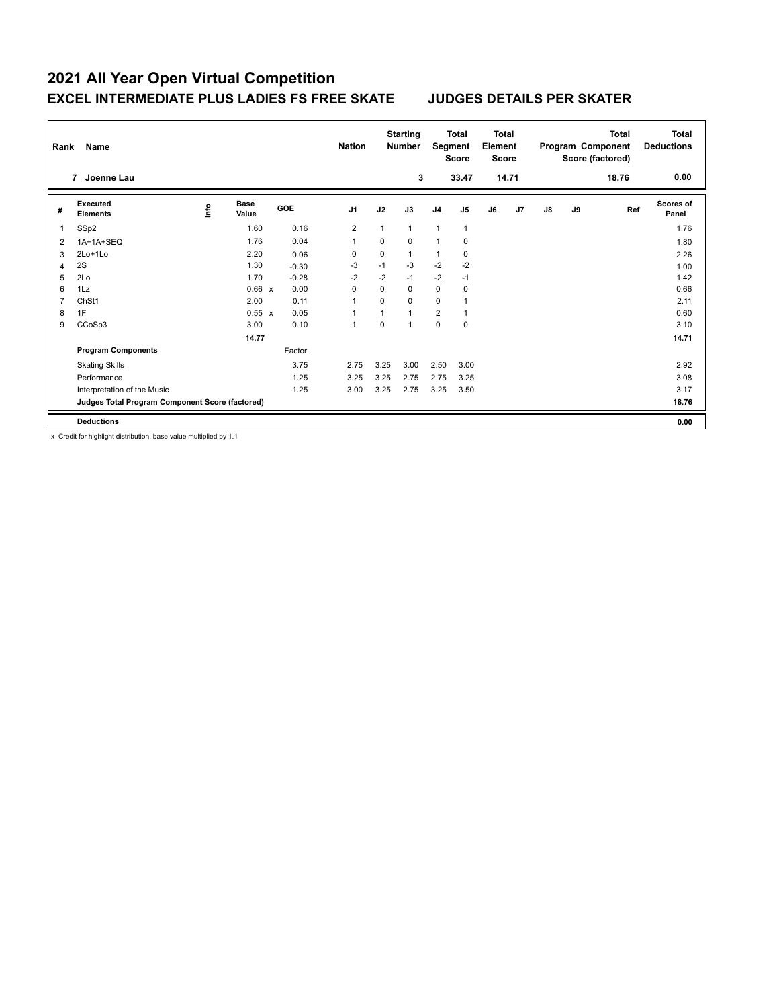| Rank | <b>Name</b>                                     |      |                      |            | <b>Nation</b>  |          | <b>Starting</b><br><b>Number</b> | Segment        | <b>Total</b><br><b>Score</b> | <b>Total</b><br>Element<br><b>Score</b> |       |               |    | <b>Total</b><br>Program Component<br>Score (factored) | <b>Total</b><br><b>Deductions</b> |
|------|-------------------------------------------------|------|----------------------|------------|----------------|----------|----------------------------------|----------------|------------------------------|-----------------------------------------|-------|---------------|----|-------------------------------------------------------|-----------------------------------|
|      | Joenne Lau<br>7                                 |      |                      |            |                |          | 3                                |                | 33.47                        |                                         | 14.71 |               |    | 18.76                                                 | 0.00                              |
| #    | Executed<br><b>Elements</b>                     | ١nf٥ | <b>Base</b><br>Value | <b>GOE</b> | J <sub>1</sub> | J2       | J3                               | J <sub>4</sub> | J <sub>5</sub>               | J6                                      | J7    | $\mathsf{J}8$ | J9 | Ref                                                   | Scores of<br>Panel                |
|      | SSp2                                            |      | 1.60                 | 0.16       | 2              | 1        | $\mathbf{1}$                     | $\mathbf{1}$   | $\mathbf{1}$                 |                                         |       |               |    |                                                       | 1.76                              |
| 2    | 1A+1A+SEQ                                       |      | 1.76                 | 0.04       | 1              | 0        | $\Omega$                         | $\mathbf{1}$   | 0                            |                                         |       |               |    |                                                       | 1.80                              |
| 3    | 2Lo+1Lo                                         |      | 2.20                 | 0.06       | 0              | 0        | 1                                | $\mathbf{1}$   | 0                            |                                         |       |               |    |                                                       | 2.26                              |
| 4    | 2S                                              |      | 1.30                 | $-0.30$    | $-3$           | $-1$     | -3                               | $-2$           | $-2$                         |                                         |       |               |    |                                                       | 1.00                              |
| 5    | 2Lo                                             |      | 1.70                 | $-0.28$    | $-2$           | $-2$     | $-1$                             | $-2$           | $-1$                         |                                         |       |               |    |                                                       | 1.42                              |
| 6    | 1Lz                                             |      | 0.66 x               | 0.00       | 0              | 0        | 0                                | $\mathbf 0$    | $\mathbf 0$                  |                                         |       |               |    |                                                       | 0.66                              |
|      | ChSt1                                           |      | 2.00                 | 0.11       | 1              | 0        | $\mathbf 0$                      | $\mathbf 0$    | 1                            |                                         |       |               |    |                                                       | 2.11                              |
| 8    | 1F                                              |      | 0.55 x               | 0.05       | 1              | 1        | $\overline{1}$                   | $\overline{2}$ | 1                            |                                         |       |               |    |                                                       | 0.60                              |
| 9    | CCoSp3                                          |      | 3.00                 | 0.10       | 1              | $\Omega$ | 1                                | 0              | $\mathbf 0$                  |                                         |       |               |    |                                                       | 3.10                              |
|      |                                                 |      | 14.77                |            |                |          |                                  |                |                              |                                         |       |               |    |                                                       | 14.71                             |
|      | <b>Program Components</b>                       |      |                      | Factor     |                |          |                                  |                |                              |                                         |       |               |    |                                                       |                                   |
|      | <b>Skating Skills</b>                           |      |                      | 3.75       | 2.75           | 3.25     | 3.00                             | 2.50           | 3.00                         |                                         |       |               |    |                                                       | 2.92                              |
|      | Performance                                     |      |                      | 1.25       | 3.25           | 3.25     | 2.75                             | 2.75           | 3.25                         |                                         |       |               |    |                                                       | 3.08                              |
|      | Interpretation of the Music                     |      |                      | 1.25       | 3.00           | 3.25     | 2.75                             | 3.25           | 3.50                         |                                         |       |               |    |                                                       | 3.17                              |
|      | Judges Total Program Component Score (factored) |      |                      |            |                |          |                                  |                |                              |                                         |       |               |    |                                                       | 18.76                             |
|      | <b>Deductions</b>                               |      |                      |            |                |          |                                  |                |                              |                                         |       |               |    |                                                       | 0.00                              |

x Credit for highlight distribution, base value multiplied by 1.1